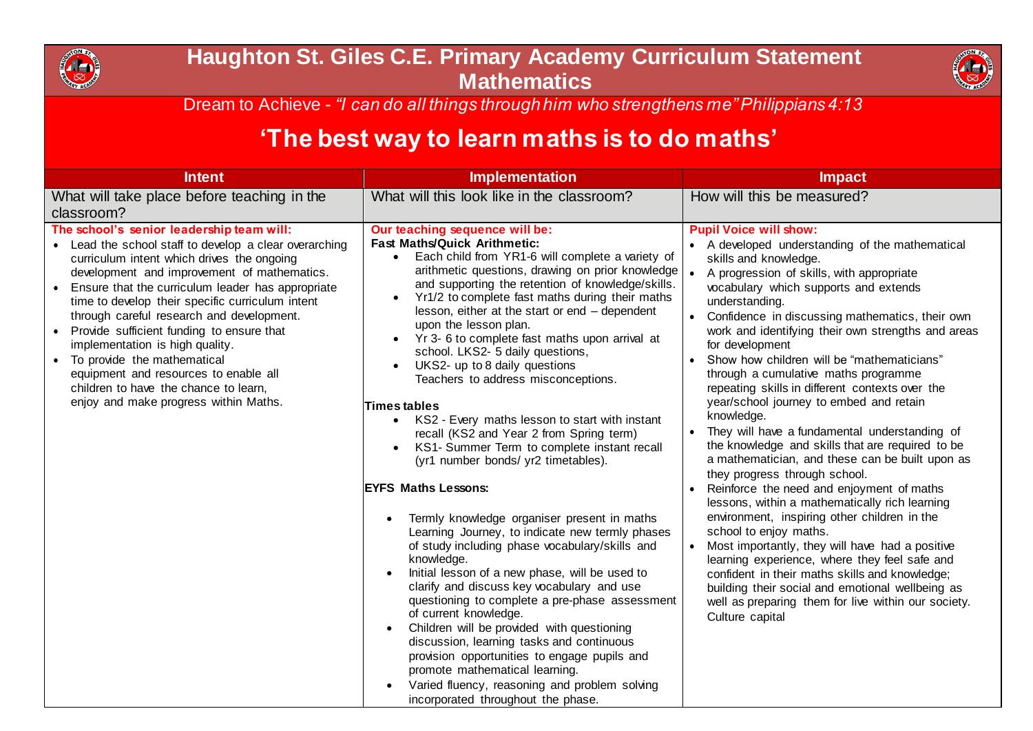

## **Haughton St. Giles C.E. Primary Academy Curriculum Statement Mathematics**



Dream to Achieve *- "I can do all things through him who strengthens me" Philippians 4:13*

## **'The best way to learn maths is to do maths'**

| <b>Intent</b>                                                                                                                                                                                                                                                                                                                                                                                                                                                                                                                                                                                    | <b>Implementation</b>                                                                                                                                                                                                                                                                                                                                                                                                                                                                                                                                                                                                                                                                                                                                                                                                                                                                                                                                                                                                                                                                                                                                                                                                                                                                                                                                                                                         | <b>Impact</b>                                                                                                                                                                                                                                                                                                                                                                                                                                                                                                                                                                                                                                                                                                                                                                                                                                                                                                                                                                                                                                                                                                                                                                                                                   |
|--------------------------------------------------------------------------------------------------------------------------------------------------------------------------------------------------------------------------------------------------------------------------------------------------------------------------------------------------------------------------------------------------------------------------------------------------------------------------------------------------------------------------------------------------------------------------------------------------|---------------------------------------------------------------------------------------------------------------------------------------------------------------------------------------------------------------------------------------------------------------------------------------------------------------------------------------------------------------------------------------------------------------------------------------------------------------------------------------------------------------------------------------------------------------------------------------------------------------------------------------------------------------------------------------------------------------------------------------------------------------------------------------------------------------------------------------------------------------------------------------------------------------------------------------------------------------------------------------------------------------------------------------------------------------------------------------------------------------------------------------------------------------------------------------------------------------------------------------------------------------------------------------------------------------------------------------------------------------------------------------------------------------|---------------------------------------------------------------------------------------------------------------------------------------------------------------------------------------------------------------------------------------------------------------------------------------------------------------------------------------------------------------------------------------------------------------------------------------------------------------------------------------------------------------------------------------------------------------------------------------------------------------------------------------------------------------------------------------------------------------------------------------------------------------------------------------------------------------------------------------------------------------------------------------------------------------------------------------------------------------------------------------------------------------------------------------------------------------------------------------------------------------------------------------------------------------------------------------------------------------------------------|
| What will take place before teaching in the<br>classroom?                                                                                                                                                                                                                                                                                                                                                                                                                                                                                                                                        | What will this look like in the classroom?                                                                                                                                                                                                                                                                                                                                                                                                                                                                                                                                                                                                                                                                                                                                                                                                                                                                                                                                                                                                                                                                                                                                                                                                                                                                                                                                                                    | How will this be measured?                                                                                                                                                                                                                                                                                                                                                                                                                                                                                                                                                                                                                                                                                                                                                                                                                                                                                                                                                                                                                                                                                                                                                                                                      |
| The school's senior leadership team will:<br>• Lead the school staff to develop a clear overarching<br>curriculum intent which drives the ongoing<br>development and improvement of mathematics.<br>Ensure that the curriculum leader has appropriate<br>time to develop their specific curriculum intent<br>through careful research and development.<br>Provide sufficient funding to ensure that<br>implementation is high quality.<br>To provide the mathematical<br>equipment and resources to enable all<br>children to have the chance to learn,<br>enjoy and make progress within Maths. | Our teaching sequence will be:<br><b>Fast Maths/Quick Arithmetic:</b><br>Each child from YR1-6 will complete a variety of<br>arithmetic questions, drawing on prior knowledge<br>and supporting the retention of knowledge/skills.<br>Yr1/2 to complete fast maths during their maths<br>$\bullet$<br>lesson, either at the start or end - dependent<br>upon the lesson plan.<br>Yr 3- 6 to complete fast maths upon arrival at<br>school. LKS2- 5 daily questions,<br>UKS2- up to 8 daily questions<br>Teachers to address misconceptions.<br>Times tables<br>• KS2 - Every maths lesson to start with instant<br>recall (KS2 and Year 2 from Spring term)<br>KS1- Summer Term to complete instant recall<br>(yr1 number bonds/ yr2 timetables).<br><b>EYFS Maths Lessons:</b><br>Termly knowledge organiser present in maths<br>Learning Journey, to indicate new termly phases<br>of study including phase vocabulary/skills and<br>knowledge.<br>Initial lesson of a new phase, will be used to<br>clarify and discuss key vocabulary and use<br>questioning to complete a pre-phase assessment<br>of current knowledge.<br>Children will be provided with questioning<br>$\bullet$<br>discussion, learning tasks and continuous<br>provision opportunities to engage pupils and<br>promote mathematical learning.<br>Varied fluency, reasoning and problem solving<br>incorporated throughout the phase. | <b>Pupil Voice will show:</b><br>• A developed understanding of the mathematical<br>skills and knowledge.<br>A progression of skills, with appropriate<br>$\bullet$<br>vocabulary which supports and extends<br>understanding.<br>Confidence in discussing mathematics, their own<br>work and identifying their own strengths and areas<br>for development<br>Show how children will be "mathematicians"<br>through a cumulative maths programme<br>repeating skills in different contexts over the<br>year/school journey to embed and retain<br>knowledge.<br>They will have a fundamental understanding of<br>the knowledge and skills that are required to be<br>a mathematician, and these can be built upon as<br>they progress through school.<br>Reinforce the need and enjoyment of maths<br>lessons, within a mathematically rich learning<br>environment, inspiring other children in the<br>school to enjoy maths.<br>Most importantly, they will have had a positive<br>$\bullet$<br>learning experience, where they feel safe and<br>confident in their maths skills and knowledge;<br>building their social and emotional wellbeing as<br>well as preparing them for live within our society.<br>Culture capital |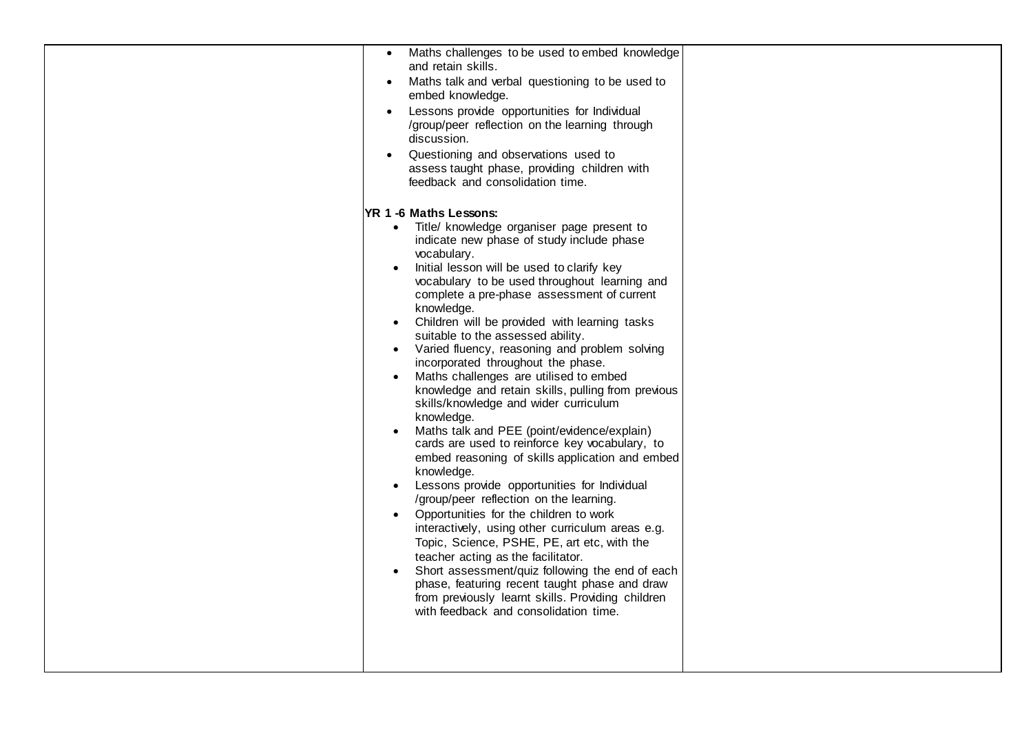| Maths challenges to be used to embed knowledge<br>and retain skills.<br>Maths talk and verbal questioning to be used to<br>embed knowledge.<br>Lessons provide opportunities for Individual<br>/group/peer reflection on the learning through<br>discussion.                                                                                                                                                                                                                                                                      |  |
|-----------------------------------------------------------------------------------------------------------------------------------------------------------------------------------------------------------------------------------------------------------------------------------------------------------------------------------------------------------------------------------------------------------------------------------------------------------------------------------------------------------------------------------|--|
| Questioning and observations used to<br>assess taught phase, providing children with<br>feedback and consolidation time.<br>YR 1 -6 Maths Lessons:<br>Title/ knowledge organiser page present to<br>$\bullet$<br>indicate new phase of study include phase<br>vocabulary.<br>Initial lesson will be used to clarify key<br>$\bullet$<br>vocabulary to be used throughout learning and<br>complete a pre-phase assessment of current                                                                                               |  |
| knowledge.<br>Children will be provided with learning tasks<br>suitable to the assessed ability.<br>Varied fluency, reasoning and problem solving<br>$\bullet$<br>incorporated throughout the phase.<br>Maths challenges are utilised to embed<br>$\bullet$<br>knowledge and retain skills, pulling from previous<br>skills/knowledge and wider curriculum<br>knowledge.<br>Maths talk and PEE (point/evidence/explain)<br>cards are used to reinforce key vocabulary, to<br>embed reasoning of skills application and embed      |  |
| knowledge.<br>Lessons provide opportunities for Individual<br>$\bullet$<br>/group/peer reflection on the learning.<br>Opportunities for the children to work<br>$\bullet$<br>interactively, using other curriculum areas e.g.<br>Topic, Science, PSHE, PE, art etc, with the<br>teacher acting as the facilitator.<br>Short assessment/quiz following the end of each<br>$\bullet$<br>phase, featuring recent taught phase and draw<br>from previously learnt skills. Providing children<br>with feedback and consolidation time. |  |
|                                                                                                                                                                                                                                                                                                                                                                                                                                                                                                                                   |  |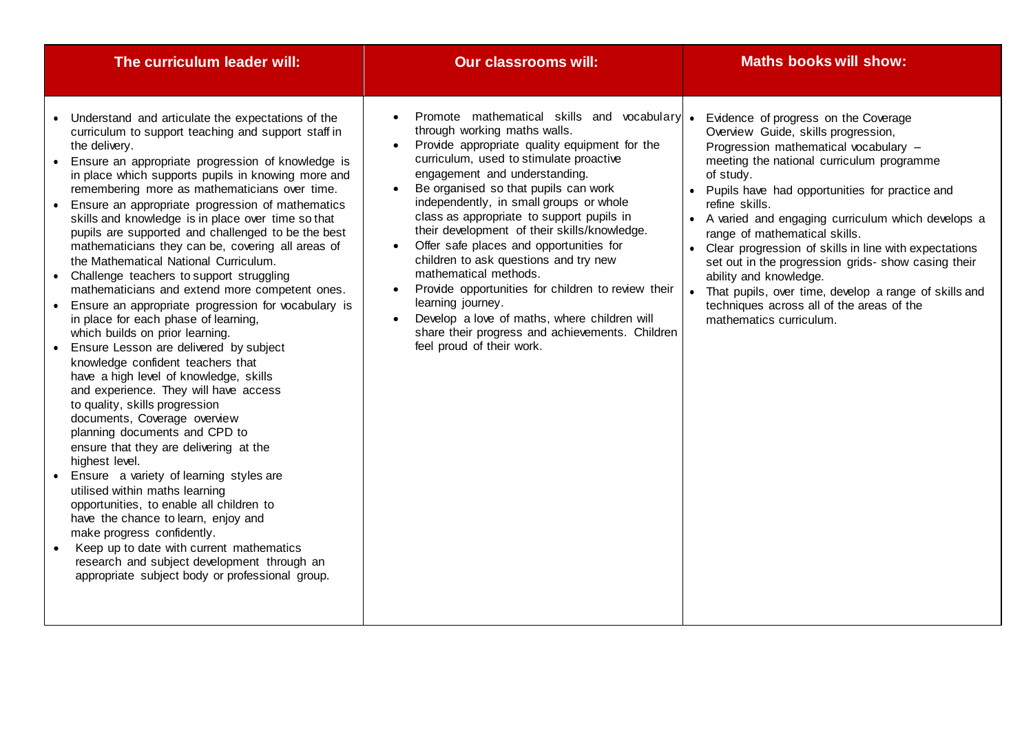| The curriculum leader will:                                                                                                                                                                                                                                                                                                                                                                                                                                                                                                                                                                                                                                                                                                                                                                                                                                                                                                                                                                                                                                                                                                                                                                                                                                                                                                                                                                                                                                                    | <b>Our classrooms will:</b>                                                                                                                                                                                                                                                                                                                                                                                                                                                                                                                                                                                                                                                                                       | <b>Maths books will show:</b>                                                                                                                                                                                                                                                                                                                                                                                                                                                                                                                                                                                               |
|--------------------------------------------------------------------------------------------------------------------------------------------------------------------------------------------------------------------------------------------------------------------------------------------------------------------------------------------------------------------------------------------------------------------------------------------------------------------------------------------------------------------------------------------------------------------------------------------------------------------------------------------------------------------------------------------------------------------------------------------------------------------------------------------------------------------------------------------------------------------------------------------------------------------------------------------------------------------------------------------------------------------------------------------------------------------------------------------------------------------------------------------------------------------------------------------------------------------------------------------------------------------------------------------------------------------------------------------------------------------------------------------------------------------------------------------------------------------------------|-------------------------------------------------------------------------------------------------------------------------------------------------------------------------------------------------------------------------------------------------------------------------------------------------------------------------------------------------------------------------------------------------------------------------------------------------------------------------------------------------------------------------------------------------------------------------------------------------------------------------------------------------------------------------------------------------------------------|-----------------------------------------------------------------------------------------------------------------------------------------------------------------------------------------------------------------------------------------------------------------------------------------------------------------------------------------------------------------------------------------------------------------------------------------------------------------------------------------------------------------------------------------------------------------------------------------------------------------------------|
| • Understand and articulate the expectations of the<br>curriculum to support teaching and support staff in<br>the delivery.<br>• Ensure an appropriate progression of knowledge is<br>in place which supports pupils in knowing more and<br>remembering more as mathematicians over time.<br>• Ensure an appropriate progression of mathematics<br>skills and knowledge is in place over time so that<br>pupils are supported and challenged to be the best<br>mathematicians they can be, covering all areas of<br>the Mathematical National Curriculum.<br>• Challenge teachers to support struggling<br>mathematicians and extend more competent ones.<br>• Ensure an appropriate progression for vocabulary is<br>in place for each phase of learning,<br>which builds on prior learning.<br>• Ensure Lesson are delivered by subject<br>knowledge confident teachers that<br>have a high level of knowledge, skills<br>and experience. They will have access<br>to quality, skills progression<br>documents, Coverage overview<br>planning documents and CPD to<br>ensure that they are delivering at the<br>highest level.<br>• Ensure a variety of learning styles are<br>utilised within maths learning<br>opportunities, to enable all children to<br>have the chance to learn, enjoy and<br>make progress confidently.<br>Keep up to date with current mathematics<br>research and subject development through an<br>appropriate subject body or professional group. | Promote mathematical skills and vocabulary .<br>through working maths walls.<br>Provide appropriate quality equipment for the<br>curriculum, used to stimulate proactive<br>engagement and understanding.<br>Be organised so that pupils can work<br>independently, in small groups or whole<br>class as appropriate to support pupils in<br>their development of their skills/knowledge.<br>Offer safe places and opportunities for<br>children to ask questions and try new<br>mathematical methods.<br>Provide opportunities for children to review their<br>learning journey.<br>Develop a love of maths, where children will<br>share their progress and achievements. Children<br>feel proud of their work. | Evidence of progress on the Coverage<br>Overview Guide, skills progression,<br>Progression mathematical vocabulary -<br>meeting the national curriculum programme<br>of study.<br>• Pupils have had opportunities for practice and<br>refine skills.<br>• A varied and engaging curriculum which develops a<br>range of mathematical skills.<br>• Clear progression of skills in line with expectations<br>set out in the progression grids- show casing their<br>ability and knowledge.<br>• That pupils, over time, develop a range of skills and<br>techniques across all of the areas of the<br>mathematics curriculum. |